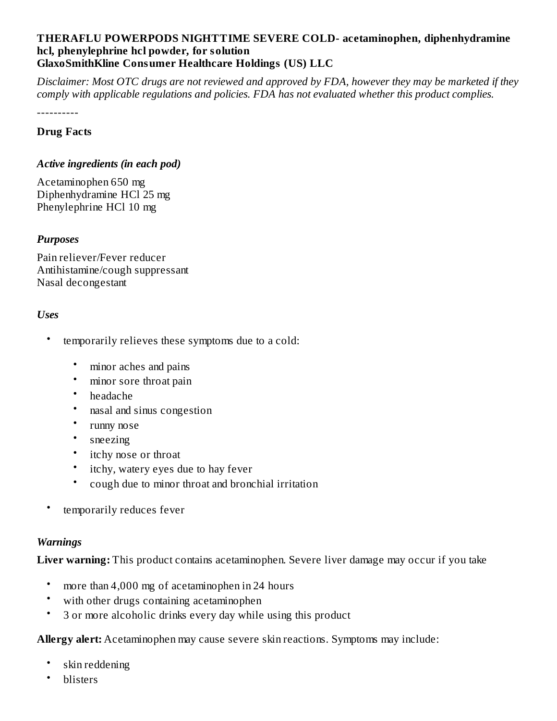#### **THERAFLU POWERPODS NIGHTTIME SEVERE COLD- acetaminophen, diphenhydramine hcl, phenylephrine hcl powder, for solution GlaxoSmithKline Consumer Healthcare Holdings (US) LLC**

Disclaimer: Most OTC drugs are not reviewed and approved by FDA, however they may be marketed if they *comply with applicable regulations and policies. FDA has not evaluated whether this product complies.*

----------

#### **Drug Facts**

#### *Active ingredients (in each pod)*

Acetaminophen 650 mg Diphenhydramine HCl 25 mg Phenylephrine HCl 10 mg

#### *Purposes*

Pain reliever/Fever reducer Antihistamine/cough suppressant Nasal decongestant

#### *Uses*

- temporarily relieves these symptoms due to a cold:
	- minor aches and pains
	- minor sore throat pain
	- headache
	- nasal and sinus congestion
	- runny nose
	- sneezing
	- itchy nose or throat
	- itchy, watery eyes due to hay fever
	- cough due to minor throat and bronchial irritation
- temporarily reduces fever

#### *Warnings*

**Liver warning:** This product contains acetaminophen. Severe liver damage may occur if you take

- more than 4,000 mg of acetaminophen in 24 hours
- with other drugs containing acetaminophen
- 3 or more alcoholic drinks every day while using this product

**Allergy alert:** Acetaminophen may cause severe skin reactions. Symptoms may include:

- skin reddening
- blisters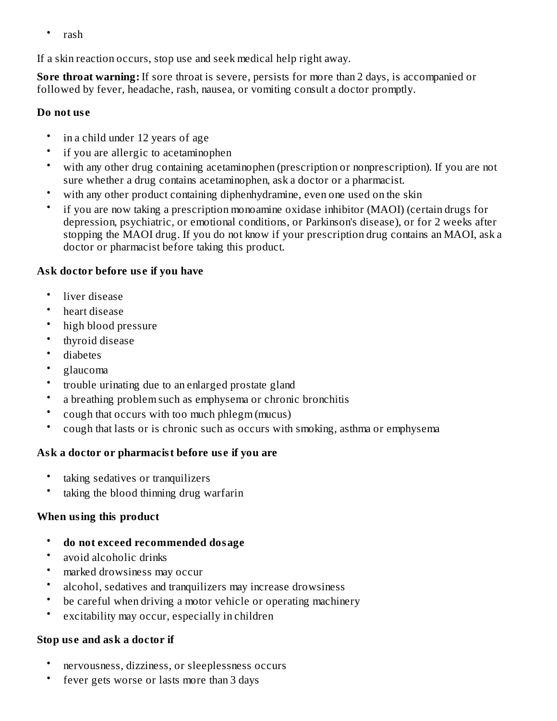• rash

If a skin reaction occurs, stop use and seek medical help right away.

**Sore throat warning:** If sore throat is severe, persists for more than 2 days, is accompanied or followed by fever, headache, rash, nausea, or vomiting consult a doctor promptly.

### **Do not us e**

- in a child under 12 years of age
- if you are allergic to acetaminophen
- with any other drug containing acetaminophen (prescription or nonprescription). If you are not sure whether a drug contains acetaminophen, ask a doctor or a pharmacist.
- with any other product containing diphenhydramine, even one used on the skin
- if you are now taking a prescription monoamine oxidase inhibitor (MAOI) (certain drugs for depression, psychiatric, or emotional conditions, or Parkinson's disease), or for 2 weeks after stopping the MAOI drug. If you do not know if your prescription drug contains an MAOI, ask a doctor or pharmacist before taking this product.

# **Ask doctor before us e if you have**

- liver disease
- heart disease
- high blood pressure
- thyroid disease
- diabetes
- glaucoma
- trouble urinating due to an enlarged prostate gland
- a breathing problem such as emphysema or chronic bronchitis
- cough that occurs with too much phlegm (mucus)
- cough that lasts or is chronic such as occurs with smoking, asthma or emphysema

# **Ask a doctor or pharmacist before us e if you are**

- taking sedatives or tranquilizers
- taking the blood thinning drug warfarin

# **When using this product**

- **do not exceed recommended dosage**
- avoid alcoholic drinks
- marked drowsiness may occur
- alcohol, sedatives and tranquilizers may increase drowsiness
- be careful when driving a motor vehicle or operating machinery
- excitability may occur, especially in children

### **Stop us e and ask a doctor if**

- nervousness, dizziness, or sleeplessness occurs
- fever gets worse or lasts more than 3 days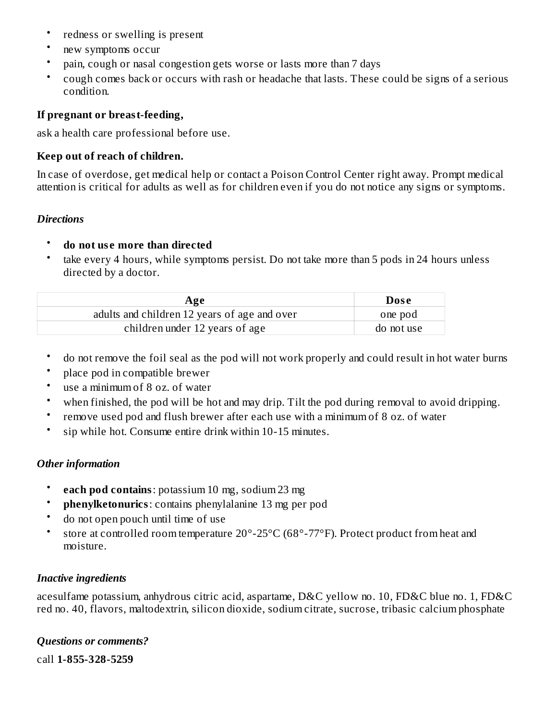- redness or swelling is present
- new symptoms occur
- pain, cough or nasal congestion gets worse or lasts more than 7 days
- cough comes back or occurs with rash or headache that lasts. These could be signs of a serious condition.

#### **If pregnant or breast-feeding,**

ask a health care professional before use.

#### **Keep out of reach of children.**

In case of overdose, get medical help or contact a Poison Control Center right away. Prompt medical attention is critical for adults as well as for children even if you do not notice any signs or symptoms.

#### *Directions*

#### • **do not us e more than directed**

• take every 4 hours, while symptoms persist. Do not take more than 5 pods in 24 hours unless directed by a doctor.

| Age                                          | <b>Dose</b> |
|----------------------------------------------|-------------|
| adults and children 12 years of age and over | one pod     |
| children under 12 years of age               | do not use  |

- do not remove the foil seal as the pod will not work properly and could result in hot water burns
- place pod in compatible brewer
- use a minimum of 8 oz. of water
- when finished, the pod will be hot and may drip. Tilt the pod during removal to avoid dripping.
- remove used pod and flush brewer after each use with a minimum of 8 oz. of water
- sip while hot. Consume entire drink within 10-15 minutes.

### *Other information*

- **each pod contains**: potassium 10 mg, sodium 23 mg
- **phenylketonurics**: contains phenylalanine 13 mg per pod
- do not open pouch until time of use
- store at controlled room temperature 20°-25°C (68°-77°F). Protect product from heat and moisture.

### *Inactive ingredients*

acesulfame potassium, anhydrous citric acid, aspartame, D&C yellow no. 10, FD&C blue no. 1, FD&C red no. 40, flavors, maltodextrin, silicon dioxide, sodium citrate, sucrose, tribasic calcium phosphate

### *Questions or comments?*

call **1-855-328-5259**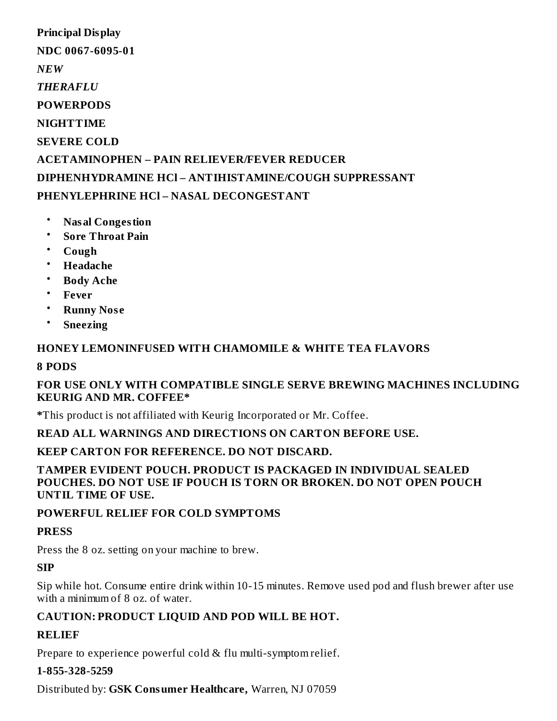**Principal Display NDC 0067-6095-01** *NEW THERAFLU* **POWERPODS NIGHTTIME SEVERE COLD ACETAMINOPHEN – PAIN RELIEVER/FEVER REDUCER DIPHENHYDRAMINE HCl – ANTIHISTAMINE/COUGH SUPPRESSANT PHENYLEPHRINE HCl – NASAL DECONGESTANT**

- **Nasal Congestion**
- **Sore Throat Pain**
- **Cough**
- **Headache**
- **Body Ache**
- **Fever**
- **Runny Nos e**
- **Sneezing**

## **HONEY LEMONINFUSED WITH CHAMOMILE & WHITE TEA FLAVORS**

#### **8 PODS**

### **FOR USE ONLY WITH COMPATIBLE SINGLE SERVE BREWING MACHINES INCLUDING KEURIG AND MR. COFFEE\***

**\***This product is not affiliated with Keurig Incorporated or Mr. Coffee.

### **READ ALL WARNINGS AND DIRECTIONS ON CARTON BEFORE USE.**

### **KEEP CARTON FOR REFERENCE. DO NOT DISCARD.**

#### **TAMPER EVIDENT POUCH. PRODUCT IS PACKAGED IN INDIVIDUAL SEALED POUCHES. DO NOT USE IF POUCH IS TORN OR BROKEN. DO NOT OPEN POUCH UNTIL TIME OF USE.**

### **POWERFUL RELIEF FOR COLD SYMPTOMS**

### **PRESS**

Press the 8 oz. setting on your machine to brew.

### **SIP**

Sip while hot. Consume entire drink within 10-15 minutes. Remove used pod and flush brewer after use with a minimum of 8 oz. of water.

# **CAUTION: PRODUCT LIQUID AND POD WILL BE HOT.**

### **RELIEF**

Prepare to experience powerful cold & flu multi-symptom relief.

### **1-855-328-5259**

Distributed by: **GSK Consumer Healthcare,** Warren, NJ 07059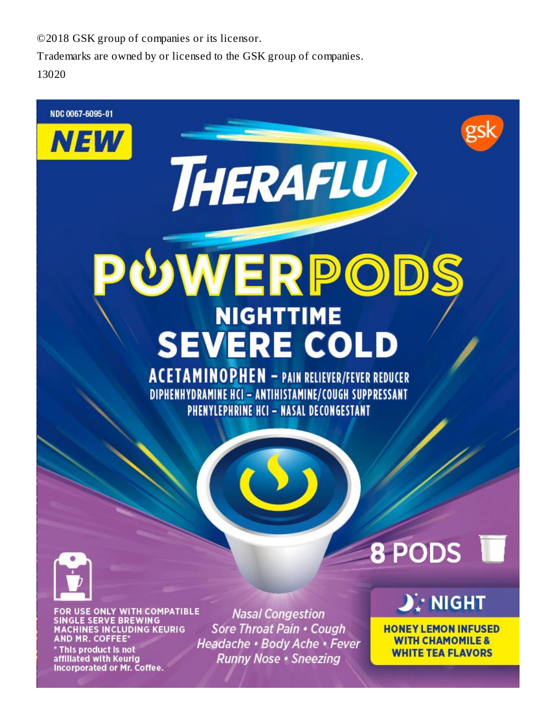©2018 GSK group of companies or its licensor.

Trademarks are owned by or licensed to the GSK group of companies.

13020

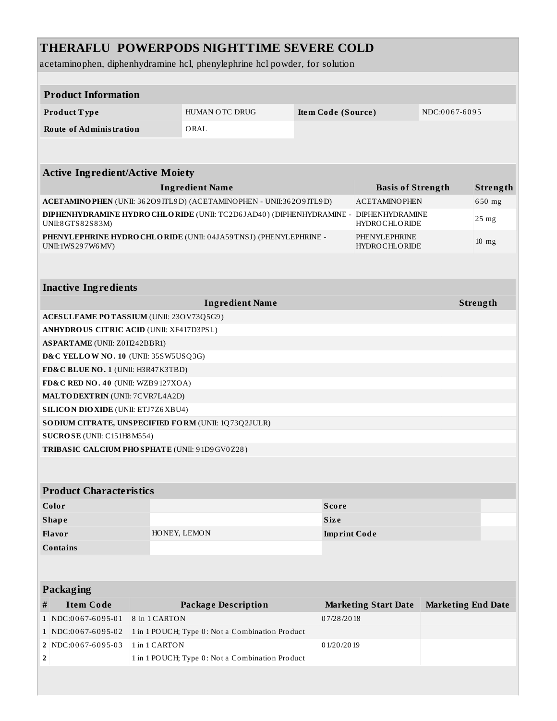# **THERAFLU POWERPODS NIGHTTIME SEVERE COLD**

acetaminophen, diphenhydramine hcl, phenylephrine hcl powder, for solution

| <b>Product Information</b>                                                                |               |                                                                   |                          |                                         |                           |                  |  |
|-------------------------------------------------------------------------------------------|---------------|-------------------------------------------------------------------|--------------------------|-----------------------------------------|---------------------------|------------------|--|
| Product Type                                                                              |               | HUMAN OTC DRUG                                                    |                          | Item Code (Source)                      |                           | NDC:0067-6095    |  |
| <b>Route of Administration</b>                                                            |               | ORAL                                                              |                          |                                         |                           |                  |  |
|                                                                                           |               |                                                                   |                          |                                         |                           |                  |  |
|                                                                                           |               |                                                                   |                          |                                         |                           |                  |  |
| <b>Active Ingredient/Active Moiety</b>                                                    |               |                                                                   |                          |                                         |                           |                  |  |
| <b>Ingredient Name</b>                                                                    |               |                                                                   | <b>Basis of Strength</b> |                                         | Strength                  |                  |  |
| ACETAMINO PHEN (UNII: 362O9 ITL9D) (ACETAMINO PHEN - UNII:362O9 ITL9D)                    |               |                                                                   |                          | <b>ACETAMINOPHEN</b>                    |                           | 650 mg           |  |
| DIPHENHYDRAMINE HYDRO CHLO RIDE (UNII: TC2D6JAD40) (DIPHENHYDRAMINE -<br>UNII:8GTS82S83M) |               |                                                                   |                          | DIPHENHYDRAMINE<br><b>HYDROCHLORIDE</b> |                           | 25 <sub>mg</sub> |  |
| UNII:1WS297W6MV)                                                                          |               | PHENYLEPHRINE HYDRO CHLO RIDE (UNII: 04JA59TNSJ) (PHENYLEPHRINE - |                          | PHENYLEPHRINE<br><b>HYDROCHLORIDE</b>   |                           | $10 \text{ mg}$  |  |
|                                                                                           |               |                                                                   |                          |                                         |                           |                  |  |
|                                                                                           |               |                                                                   |                          |                                         |                           |                  |  |
| <b>Inactive Ingredients</b>                                                               |               |                                                                   |                          |                                         |                           |                  |  |
|                                                                                           |               | <b>Ingredient Name</b>                                            |                          |                                         |                           | Strength         |  |
| ACESULFAME POTASSIUM (UNII: 23OV73Q5G9)                                                   |               |                                                                   |                          |                                         |                           |                  |  |
| ANHYDROUS CITRIC ACID (UNII: XF417D3PSL)                                                  |               |                                                                   |                          |                                         |                           |                  |  |
| <b>ASPARTAME</b> (UNII: Z0H242BBR1)                                                       |               |                                                                   |                          |                                         |                           |                  |  |
| D&C YELLOW NO. 10 (UNII: 35SW5USQ3G)                                                      |               |                                                                   |                          |                                         |                           |                  |  |
| FD&C BLUE NO. 1 (UNII: H3R47K3TBD)                                                        |               |                                                                   |                          |                                         |                           |                  |  |
| FD&C RED NO. 40 (UNII: WZB9127XOA)<br><b>MALTODEXTRIN</b> (UNII: 7CVR7L4A2D)              |               |                                                                   |                          |                                         |                           |                  |  |
| <b>SILICON DIO XIDE (UNII: ETJ7Z6 XBU4)</b>                                               |               |                                                                   |                          |                                         |                           |                  |  |
|                                                                                           |               | SO DIUM CITRATE, UNSPECIFIED FORM (UNII: 1Q73Q2JULR)              |                          |                                         |                           |                  |  |
| SUCROSE (UNII: C151H8 M554)                                                               |               |                                                                   |                          |                                         |                           |                  |  |
| TRIBASIC CALCIUM PHOSPHATE (UNII: 91D9GV0Z28)                                             |               |                                                                   |                          |                                         |                           |                  |  |
|                                                                                           |               |                                                                   |                          |                                         |                           |                  |  |
|                                                                                           |               |                                                                   |                          |                                         |                           |                  |  |
| <b>Product Characteristics</b>                                                            |               |                                                                   |                          |                                         |                           |                  |  |
| Color                                                                                     |               |                                                                   | <b>Score</b>             |                                         |                           |                  |  |
| <b>Shape</b>                                                                              |               |                                                                   | <b>Size</b>              |                                         |                           |                  |  |
| Flavor                                                                                    |               | HONEY, LEMON                                                      |                          | <b>Imprint Code</b>                     |                           |                  |  |
| <b>Contains</b>                                                                           |               |                                                                   |                          |                                         |                           |                  |  |
|                                                                                           |               |                                                                   |                          |                                         |                           |                  |  |
|                                                                                           |               |                                                                   |                          |                                         |                           |                  |  |
| <b>Packaging</b>                                                                          |               |                                                                   |                          |                                         |                           |                  |  |
| <b>Item Code</b><br>#                                                                     |               | <b>Package Description</b>                                        |                          | <b>Marketing Start Date</b>             | <b>Marketing End Date</b> |                  |  |
| 1 NDC:0067-6095-01<br>1 NDC:0067-6095-02                                                  | 8 in 1 CARTON | 1 in 1 POUCH; Type 0: Not a Combination Product                   | 07/28/2018               |                                         |                           |                  |  |
| 2 NDC:0067-6095-03                                                                        | 1 in 1 CARTON |                                                                   | 01/20/2019               |                                         |                           |                  |  |
| 2                                                                                         |               | 1 in 1 POUCH; Type 0: Not a Combination Product                   |                          |                                         |                           |                  |  |
|                                                                                           |               |                                                                   |                          |                                         |                           |                  |  |
|                                                                                           |               |                                                                   |                          |                                         |                           |                  |  |